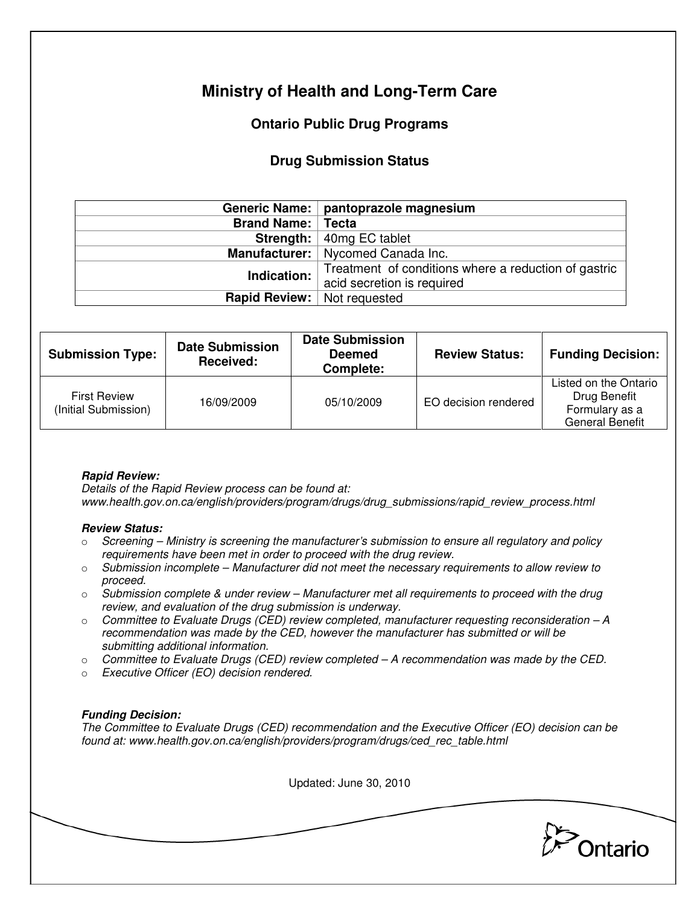# **Ministry of Health and Long-Term Care**

## **Ontario Public Drug Programs**

### **Drug Submission Status**

|                            | Generic Name:   pantoprazole magnesium               |  |
|----------------------------|------------------------------------------------------|--|
| <b>Brand Name:   Tecta</b> |                                                      |  |
|                            | <b>Strength:</b> $ $ 40mg EC tablet                  |  |
|                            | Manufacturer:   Nycomed Canada Inc.                  |  |
| Indication:                | Treatment of conditions where a reduction of gastric |  |
|                            | acid secretion is required                           |  |
| <b>Rapid Review:</b>       | Not requested                                        |  |

| <b>Submission Type:</b>                     | <b>Date Submission</b><br>Received: | <b>Date Submission</b><br><b>Deemed</b><br>Complete: | <b>Review Status:</b> | <b>Funding Decision:</b>                                                          |
|---------------------------------------------|-------------------------------------|------------------------------------------------------|-----------------------|-----------------------------------------------------------------------------------|
| <b>First Review</b><br>(Initial Submission) | 16/09/2009                          | 05/10/2009                                           | EO decision rendered  | Listed on the Ontario<br>Drug Benefit<br>Formulary as a<br><b>General Benefit</b> |

### **Rapid Review:**

Details of the Rapid Review process can be found at: www.health.gov.on.ca/english/providers/program/drugs/drug\_submissions/rapid\_review\_process.html

#### **Review Status:**

- $\circ$  Screening Ministry is screening the manufacturer's submission to ensure all regulatory and policy requirements have been met in order to proceed with the drug review.
- $\circ$  Submission incomplete Manufacturer did not meet the necessary requirements to allow review to proceed.
- $\circ$  Submission complete & under review Manufacturer met all requirements to proceed with the drug review, and evaluation of the drug submission is underway.
- $\circ$  Committee to Evaluate Drugs (CED) review completed, manufacturer requesting reconsideration  $-A$ recommendation was made by the CED, however the manufacturer has submitted or will be submitting additional information.
- $\circ$  Committee to Evaluate Drugs (CED) review completed A recommendation was made by the CED.
- o Executive Officer (EO) decision rendered.

### **Funding Decision:**

The Committee to Evaluate Drugs (CED) recommendation and the Executive Officer (EO) decision can be found at: www.health.gov.on.ca/english/providers/program/drugs/ced\_rec\_table.html

Updated: June 30, 2010

Ontario